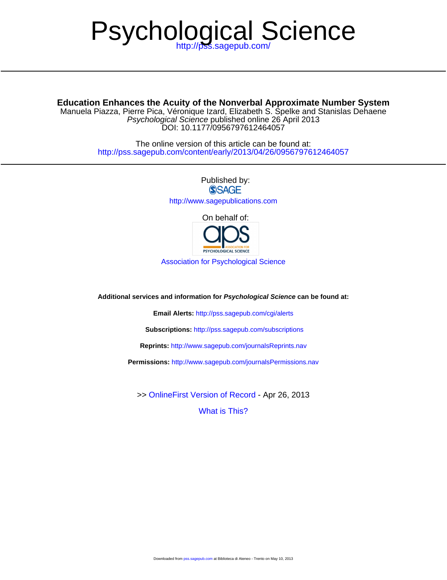# Psychological Science

### **Education Enhances the Acuity of the Nonverbal Approximate Number System**

DOI: 10.1177/0956797612464057 Psychological Science published online 26 April 2013 Manuela Piazza, Pierre Pica, Véronique Izard, Elizabeth S. Spelke and Stanislas Dehaene

> <http://pss.sagepub.com/content/early/2013/04/26/0956797612464057> The online version of this article can be found at:

> > Published by:<br>
> > SAGE <http://www.sagepublications.com> On behalf of:



[Association for Psychological Science](http://www.psychologicalscience.org/)

**Additional services and information for Psychological Science can be found at:**

**Email Alerts:** <http://pss.sagepub.com/cgi/alerts>

**Subscriptions:** <http://pss.sagepub.com/subscriptions>

**Reprints:** <http://www.sagepub.com/journalsReprints.nav>

**Permissions:** <http://www.sagepub.com/journalsPermissions.nav>

>> [OnlineFirst Version of Record -](http://pss.sagepub.com/content/early/2013/04/26/0956797612464057.full.pdf) Apr 26, 2013

[What is This?](http://online.sagepub.com/site/sphelp/vorhelp.xhtml)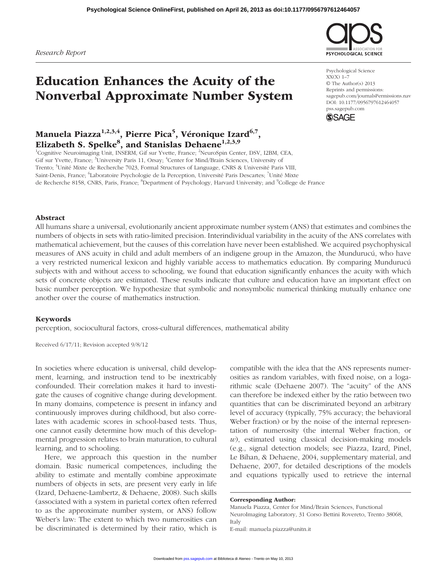*Research Report*

## Education Enhances the Acuity of the Nonverbal Approximate Number System

Manuela Piazza $^{1,2,3,4}$ , Pierre Pica $^5$ , Véronique Izard $^{6,7}$ , Elizabeth S. Spelke<sup>8</sup>, and Stanislas Dehaene<sup>1,2,3,9</sup>

<sup>1</sup>Cognitive Neuroimaging Unit, INSERM, Gif sur Yvette, France; <sup>2</sup>NeuroSpin Center, DSV, I2BM, CEA, Gif sur Yvette, France; <sup>3</sup>University Paris 11, Orsay; <sup>4</sup>Center for Mind/Brain Sciences, University of Trento; <sup>5</sup>Unité Mixte de Recherche 7023, Formal Structures of Language, CNRS & Université Paris VIII, Saint-Denis, France; <sup>6</sup>Laboratoire Psychologie de la Perception, Université Paris Descartes; <sup>7</sup>Unité Mixte de Recherche 8158, CNRS, Paris, France; <sup>8</sup>Department of Psychology, Harvard University; and <sup>9</sup>College de France

#### Psychological Science  $XX(X)$  1–7 © The Author(s) 2013 Reprints and permissions: sagepub.com/journalsPermissions.nav DOI: 10.1177/0956797612464057 pss.sagepub.com

**PSYCHOLOGICAL SCIENCE** 



#### Abstract

All humans share a universal, evolutionarily ancient approximate number system (ANS) that estimates and combines the numbers of objects in sets with ratio-limited precision. Interindividual variability in the acuity of the ANS correlates with mathematical achievement, but the causes of this correlation have never been established. We acquired psychophysical measures of ANS acuity in child and adult members of an indigene group in the Amazon, the Mundurucú, who have a very restricted numerical lexicon and highly variable access to mathematics education. By comparing Mundurucú subjects with and without access to schooling, we found that education significantly enhances the acuity with which sets of concrete objects are estimated. These results indicate that culture and education have an important effect on basic number perception. We hypothesize that symbolic and nonsymbolic numerical thinking mutually enhance one another over the course of mathematics instruction.

#### Keywords

perception, sociocultural factors, cross-cultural differences, mathematical ability

Received 6/17/11; Revision accepted 9/8/12

In societies where education is universal, child development, learning, and instruction tend to be inextricably confounded. Their correlation makes it hard to investigate the causes of cognitive change during development. In many domains, competence is present in infancy and continuously improves during childhood, but also correlates with academic scores in school-based tests. Thus, one cannot easily determine how much of this developmental progression relates to brain maturation, to cultural learning, and to schooling.

Here, we approach this question in the number domain. Basic numerical competences, including the ability to estimate and mentally combine approximate numbers of objects in sets, are present very early in life (Izard, Dehaene-Lambertz, & Dehaene, 2008). Such skills (associated with a system in parietal cortex often referred to as the approximate number system, or ANS) follow Weber's law: The extent to which two numerosities can be discriminated is determined by their ratio, which is

compatible with the idea that the ANS represents numerosities as random variables, with fixed noise, on a logarithmic scale (Dehaene 2007). The "acuity" of the ANS can therefore be indexed either by the ratio between two quantities that can be discriminated beyond an arbitrary level of accuracy (typically, 75% accuracy; the behavioral Weber fraction) or by the noise of the internal representation of numerosity (the internal Weber fraction, or *w*), estimated using classical decision-making models (e.g., signal detection models; see Piazza, Izard, Pinel, Le Bihan, & Dehaene, 2004, supplementary material, and Dehaene, 2007, for detailed descriptions of the models and equations typically used to retrieve the internal

Corresponding Author:

Manuela Piazza, Center for Mind/Brain Sciences, Functional NeuroImaging Laboratory, 31 Corso Bettini Rovereto, Trento 38068, Italy

E-mail: manuela.piazza@unitn.it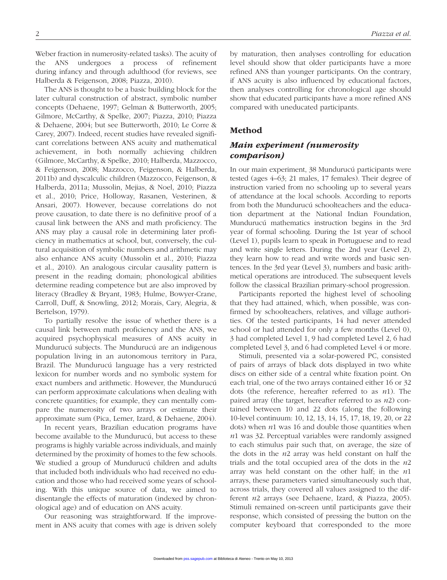Weber fraction in numerosity-related tasks). The acuity of the ANS undergoes a process of refinement during infancy and through adulthood (for reviews, see Halberda & Feigenson, 2008; Piazza, 2010).

The ANS is thought to be a basic building block for the later cultural construction of abstract, symbolic number concepts (Dehaene, 1997; Gelman & Butterworth, 2005; Gilmore, McCarthy, & Spelke, 2007; Piazza, 2010; Piazza & Dehaene, 2004; but see Butterworth, 2010; Le Corre & Carey, 2007). Indeed, recent studies have revealed significant correlations between ANS acuity and mathematical achievement, in both normally achieving children (Gilmore, McCarthy, & Spelke, 2010; Halberda, Mazzocco, & Feigenson, 2008; Mazzocco, Feigenson, & Halberda, 2011b) and dyscalculic children (Mazzocco, Feigenson, & Halberda, 2011a; Mussolin, Mejias, & Noel, 2010; Piazza et al., 2010; Price, Holloway, Rasanen, Vesterinen, & Ansari, 2007). However, because correlations do not prove causation, to date there is no definitive proof of a causal link between the ANS and math proficiency. The ANS may play a causal role in determining later proficiency in mathematics at school, but, conversely, the cultural acquisition of symbolic numbers and arithmetic may also enhance ANS acuity (Mussolin et al., 2010; Piazza et al., 2010). An analogous circular causality pattern is present in the reading domain; phonological abilities determine reading competence but are also improved by literacy (Bradley & Bryant, 1983; Hulme, Bowyer-Crane, Carroll, Duff, & Snowling, 2012; Morais, Cary, Alegria, & Bertelson, 1979).

To partially resolve the issue of whether there is a causal link between math proficiency and the ANS, we acquired psychophysical measures of ANS acuity in Mundurucú subjects. The Mundurucú are an indigenous population living in an autonomous territory in Para, Brazil. The Mundurucú language has a very restricted lexicon for number words and no symbolic system for exact numbers and arithmetic. However, the Mundurucú can perform approximate calculations when dealing with concrete quantities; for example, they can mentally compare the numerosity of two arrays or estimate their approximate sum (Pica, Lemer, Izard, & Dehaene, 2004).

In recent years, Brazilian education programs have become available to the Mundurucú, but access to these programs is highly variable across individuals, and mainly determined by the proximity of homes to the few schools. We studied a group of Mundurucú children and adults that included both individuals who had received no education and those who had received some years of schooling. With this unique source of data, we aimed to disentangle the effects of maturation (indexed by chronological age) and of education on ANS acuity.

Our reasoning was straightforward. If the improvement in ANS acuity that comes with age is driven solely by maturation, then analyses controlling for education level should show that older participants have a more refined ANS than younger participants. On the contrary, if ANS acuity is also influenced by educational factors, then analyses controlling for chronological age should show that educated participants have a more refined ANS compared with uneducated participants.

#### Method

#### *Main experiment (numerosity comparison)*

In our main experiment, 38 Mundurucú participants were tested (ages 4–63; 21 males, 17 females). Their degree of instruction varied from no schooling up to several years of attendance at the local schools. According to reports from both the Mundurucú schoolteachers and the education department at the National Indian Foundation, Mundurucú mathematics instruction begins in the 3rd year of formal schooling. During the 1st year of school (Level 1), pupils learn to speak in Portuguese and to read and write single letters. During the 2nd year (Level 2), they learn how to read and write words and basic sentences. In the 3rd year (Level 3), numbers and basic arithmetical operations are introduced. The subsequent levels follow the classical Brazilian primary-school progression.

Participants reported the highest level of schooling that they had attained, which, when possible, was confirmed by schoolteachers, relatives, and village authorities. Of the tested participants, 14 had never attended school or had attended for only a few months (Level 0), 3 had completed Level 1, 9 had completed Level 2, 6 had completed Level 3, and 6 had completed Level 4 or more.

Stimuli, presented via a solar-powered PC, consisted of pairs of arrays of black dots displayed in two white discs on either side of a central white fixation point. On each trial, one of the two arrays contained either 16 or 32 dots (the reference, hereafter referred to as *n*1). The paired array (the target, hereafter referred to as *n*2) contained between 10 and 22 dots (along the following 10-level continuum: 10, 12, 13, 14, 15, 17, 18, 19, 20, or 22 dots) when *n*1 was 16 and double those quantities when *n*1 was 32. Perceptual variables were randomly assigned to each stimulus pair such that, on average, the size of the dots in the *n*2 array was held constant on half the trials and the total occupied area of the dots in the *n*2 array was held constant on the other half; in the *n*1 arrays, these parameters varied simultaneously such that, across trials, they covered all values assigned to the different *n*2 arrays (see Dehaene, Izard, & Piazza, 2005). Stimuli remained on-screen until participants gave their response, which consisted of pressing the button on the computer keyboard that corresponded to the more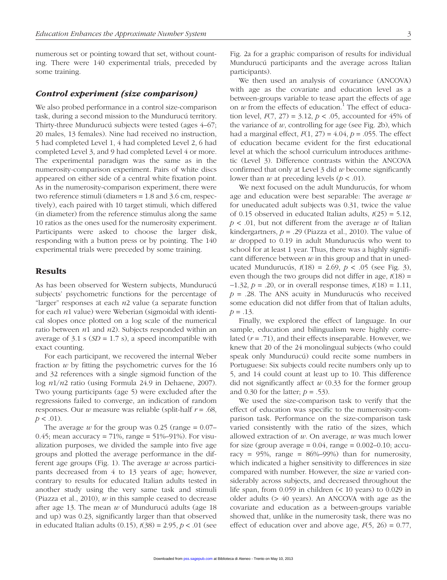numerous set or pointing toward that set, without counting. There were 140 experimental trials, preceded by some training.

#### *Control experiment (size comparison)*

We also probed performance in a control size-comparison task, during a second mission to the Mundurucú territory. Thirty-three Mundurucú subjects were tested (ages 4–67; 20 males, 13 females). Nine had received no instruction, 5 had completed Level 1, 4 had completed Level 2, 6 had completed Level 3, and 9 had completed Level 4 or more. The experimental paradigm was the same as in the numerosity-comparison experiment. Pairs of white discs appeared on either side of a central white fixation point. As in the numerosity-comparison experiment, there were two reference stimuli (diameters = 1.8 and 3.6 cm, respectively), each paired with 10 target stimuli, which differed (in diameter) from the reference stimulus along the same 10 ratios as the ones used for the numerosity experiment. Participants were asked to choose the larger disk, responding with a button press or by pointing. The 140 experimental trials were preceded by some training.

#### Results

As has been observed for Western subjects, Mundurucú subjects' psychometric functions for the percentage of "larger" responses at each *n*2 value (a separate function for each *n*1 value) were Weberian (sigmoidal with identical slopes once plotted on a log scale of the numerical ratio between *n*1 and *n*2). Subjects responded within an average of  $3.1$  s ( $SD = 1.7$  s), a speed incompatible with exact counting.

For each participant, we recovered the internal Weber fraction *w* by fitting the psychometric curves for the 16 and 32 references with a single sigmoid function of the log *n*1/*n*2 ratio (using Formula 24.9 in Dehaene, 2007). Two young participants (age 5) were excluded after the regressions failed to converge, an indication of random responses. Our *w* measure was reliable (split-half *r* = .68,  $p < .01$ ).

The average  $w$  for the group was 0.25 (range  $= 0.07-$ 0.45; mean accuracy = 71%, range =  $51\% - 91\%$ ). For visualization purposes, we divided the sample into five age groups and plotted the average performance in the different age groups (Fig. 1). The average *w* across participants decreased from 4 to 13 years of age; however, contrary to results for educated Italian adults tested in another study using the very same task and stimuli (Piazza et al., 2010), *w* in this sample ceased to decrease after age 13. The mean *w* of Mundurucú adults (age 18 and up) was 0.23, significantly larger than that observed in educated Italian adults (0.15), *t*(38) = 2.95, *p* < .01 (see Fig. 2a for a graphic comparison of results for individual Mundurucú participants and the average across Italian participants).

We then used an analysis of covariance (ANCOVA) with age as the covariate and education level as a between-groups variable to tease apart the effects of age on  $w$  from the effects of education.<sup>1</sup> The effect of education level,  $F(7, 27) = 3.12$ ,  $p < .05$ , accounted for 45% of the variance of *w*, controlling for age (see Fig. 2b), which had a marginal effect,  $F(1, 27) = 4.04$ ,  $p = .055$ . The effect of education became evident for the first educational level at which the school curriculum introduces arithmetic (Level 3). Difference contrasts within the ANCOVA confirmed that only at Level 3 did *w* become significantly lower than  $w$  at preceding levels ( $p < .01$ ).

We next focused on the adult Mundurucús, for whom age and education were best separable: The average *w* for uneducated adult subjects was 0.31, twice the value of 0.15 observed in educated Italian adults,  $t(25) = 5.12$ , *p* < .01, but not different from the average *w* of Italian kindergartners,  $p = .29$  (Piazza et al., 2010). The value of *w* dropped to 0.19 in adult Mundurucús who went to school for at least 1 year. Thus, there was a highly significant difference between *w* in this group and that in uneducated Mundurucús, *t*(18) = 2.69, *p* < .05 (see Fig. 3), even though the two groups did not differ in age,  $t(18) =$ −1.32, *p* = .20, or in overall response times, *t*(18) = 1.11,  $p = 0.28$ . The ANS acuity in Mundurucús who received some education did not differ from that of Italian adults,  $p = .13$ .

Finally, we explored the effect of language. In our sample, education and bilingualism were highly correlated  $(r = .71)$ , and their effects inseparable. However, we knew that 20 of the 24 monolingual subjects (who could speak only Mundurucú) could recite some numbers in Portuguese: Six subjects could recite numbers only up to 5, and 14 could count at least up to 10. This difference did not significantly affect *w* (0.33 for the former group and 0.30 for the latter;  $p = .53$ ).

We used the size-comparison task to verify that the effect of education was specific to the numerosity-comparison task. Performance on the size-comparison task varied consistently with the ratio of the sizes, which allowed extraction of *w*. On average, *w* was much lower for size (group average  $= 0.04$ , range  $= 0.002 - 0.10$ ; accuracy =  $95\%$ , range =  $86\%$ –99%) than for numerosity, which indicated a higher sensitivity to differences in size compared with number. However, the size *w* varied considerably across subjects, and decreased throughout the life span, from  $0.059$  in children (< 10 years) to  $0.029$  in older adults (> 40 years). An ANCOVA with age as the covariate and education as a between-groups variable showed that, unlike in the numerosity task, there was no effect of education over and above age,  $F(5, 26) = 0.77$ ,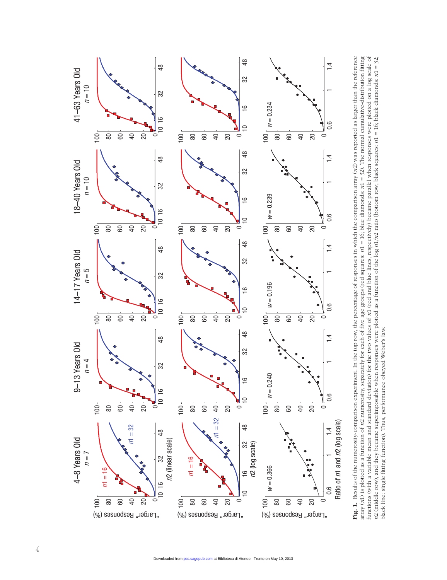

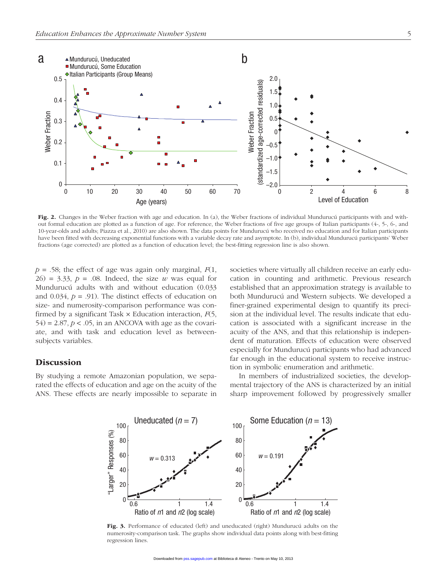

Fig. 2. Changes in the Weber fraction with age and education. In (a), the Weber fractions of individual Mundurucú participants with and without formal education are plotted as a function of age. For reference, the Weber fractions of five age groups of Italian participants (4-, 5-, 6-, and 10-year-olds and adults; Piazza et al., 2010) are also shown. The data points for Mundurucú who received no education and for Italian participants have been fitted with decreasing exponential functions with a variable decay rate and asymptote. In (b), individual Mundurucú participants' Weber fractions (age corrected) are plotted as a function of education level; the best-fitting regression line is also shown.

 $p = .58$ ; the effect of age was again only marginal,  $F(1)$ ,  $26$  = 3.33,  $p = 0.08$ . Indeed, the size *w* was equal for Mundurucú adults with and without education (0.033 and  $0.034$ ,  $p = .91$ ). The distinct effects of education on size- and numerosity-comparison performance was confirmed by a significant Task × Education interaction, *F*(5,  $54$ ) = 2.87,  $p < .05$ , in an ANCOVA with age as the covariate, and with task and education level as betweensubjects variables.

#### **Discussion**

By studying a remote Amazonian population, we separated the effects of education and age on the acuity of the ANS. These effects are nearly impossible to separate in societies where virtually all children receive an early education in counting and arithmetic. Previous research established that an approximation strategy is available to both Mundurucú and Western subjects. We developed a finer-grained experimental design to quantify its precision at the individual level. The results indicate that education is associated with a significant increase in the acuity of the ANS, and that this relationship is independent of maturation. Effects of education were observed especially for Mundurucú participants who had advanced far enough in the educational system to receive instruction in symbolic enumeration and arithmetic.

In members of industrialized societies, the developmental trajectory of the ANS is characterized by an initial sharp improvement followed by progressively smaller



Fig. 3. Performance of educated (left) and uneducated (right) Mundurucú adults on the numerosity-comparison task. The graphs show individual data points along with best-fitting regression lines.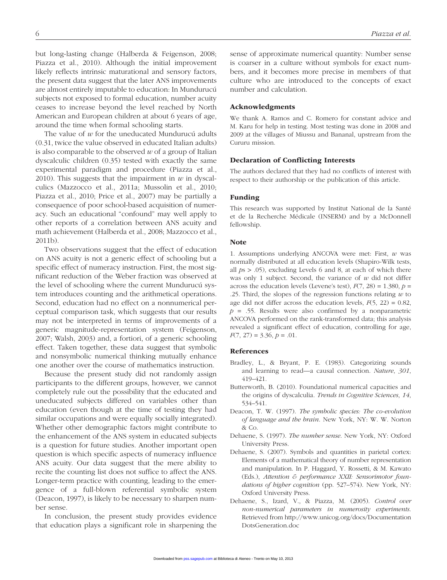but long-lasting change (Halberda & Feigenson, 2008; Piazza et al., 2010). Although the initial improvement likely reflects intrinsic maturational and sensory factors, the present data suggest that the later ANS improvements are almost entirely imputable to education: In Mundurucú subjects not exposed to formal education, number acuity ceases to increase beyond the level reached by North American and European children at about 6 years of age, around the time when formal schooling starts.

The value of *w* for the uneducated Mundurucú adults (0.31, twice the value observed in educated Italian adults) is also comparable to the observed *w* of a group of Italian dyscalculic children (0.35) tested with exactly the same experimental paradigm and procedure (Piazza et al., 2010). This suggests that the impairment in  $w$  in dyscalculics (Mazzocco et al., 2011a; Mussolin et al., 2010; Piazza et al., 2010; Price et al., 2007) may be partially a consequence of poor school-based acquisition of numeracy. Such an educational "confound" may well apply to other reports of a correlation between ANS acuity and math achievement (Halberda et al., 2008; Mazzocco et al., 2011b).

Two observations suggest that the effect of education on ANS acuity is not a generic effect of schooling but a specific effect of numeracy instruction. First, the most significant reduction of the Weber fraction was observed at the level of schooling where the current Mundurucú system introduces counting and the arithmetical operations. Second, education had no effect on a nonnumerical perceptual comparison task, which suggests that our results may not be interpreted in terms of improvements of a generic magnitude-representation system (Feigenson, 2007; Walsh, 2003) and, a fortiori, of a generic schooling effect. Taken together, these data suggest that symbolic and nonsymbolic numerical thinking mutually enhance one another over the course of mathematics instruction.

Because the present study did not randomly assign participants to the different groups, however, we cannot completely rule out the possibility that the educated and uneducated subjects differed on variables other than education (even though at the time of testing they had similar occupations and were equally socially integrated). Whether other demographic factors might contribute to the enhancement of the ANS system in educated subjects is a question for future studies. Another important open question is which specific aspects of numeracy influence ANS acuity. Our data suggest that the mere ability to recite the counting list does not suffice to affect the ANS. Longer-term practice with counting, leading to the emergence of a full-blown referential symbolic system (Deacon, 1997), is likely to be necessary to sharpen number sense.

In conclusion, the present study provides evidence that education plays a significant role in sharpening the sense of approximate numerical quantity: Number sense is coarser in a culture without symbols for exact numbers, and it becomes more precise in members of that culture who are introduced to the concepts of exact number and calculation.

#### Acknowledgments

We thank A. Ramos and C. Romero for constant advice and M. Karu for help in testing. Most testing was done in 2008 and 2009 at the villages of Miussu and Bananal, upstream from the Cururu mission.

#### Declaration of Conflicting Interests

The authors declared that they had no conflicts of interest with respect to their authorship or the publication of this article.

#### Funding

This research was supported by Institut National de la Santé et de la Recherche Médicale (INSERM) and by a McDonnell fellowship.

#### Note

1. Assumptions underlying ANCOVA were met: First, *w* was normally distributed at all education levels (Shapiro-Wilk tests, all *p*s > .05), excluding Levels 6 and 8, at each of which there was only 1 subject. Second, the variance of *w* did not differ across the education levels (Levene's test),  $F(7, 28) = 1.380$ ,  $p =$ .25. Third, the slopes of the regression functions relating *w* to age did not differ across the education levels,  $F(5, 22) = 0.82$ , *p* = .55. Results were also confirmed by a nonparametric ANCOVA performed on the rank-transformed data; this analysis revealed a significant effect of education, controlling for age,  $F(7, 27) = 3.36, p = .01.$ 

#### References

- Bradley, L., & Bryant, P. E. (1983). Categorizing sounds and learning to read—a causal connection. *Nature*, *301*, 419–421.
- Butterworth, B. (2010). Foundational numerical capacities and the origins of dyscalculia. *Trends in Cognitive Sciences*, *14*, 534–541.
- Deacon, T. W. (1997). *The symbolic species: The co-evolution of language and the brain*. New York, NY: W. W. Norton & Co.
- Dehaene, S. (1997). *The number sense*. New York, NY: Oxford University Press.
- Dehaene, S. (2007). Symbols and quantities in parietal cortex: Elements of a mathematical theory of number representation and manipulation. In P. Haggard, Y. Rossetti, & M. Kawato (Eds.), *Attention & performance XXII: Sensorimotor foundations of higher cognition* (pp. 527–574). New York, NY: Oxford University Press.
- Dehaene, S., Izard, V., & Piazza, M. (2005). *Control over non-numerical parameters in numerosity experiments*. Retrieved from http://www.unicog.org/docs/Documentation DotsGeneration.doc